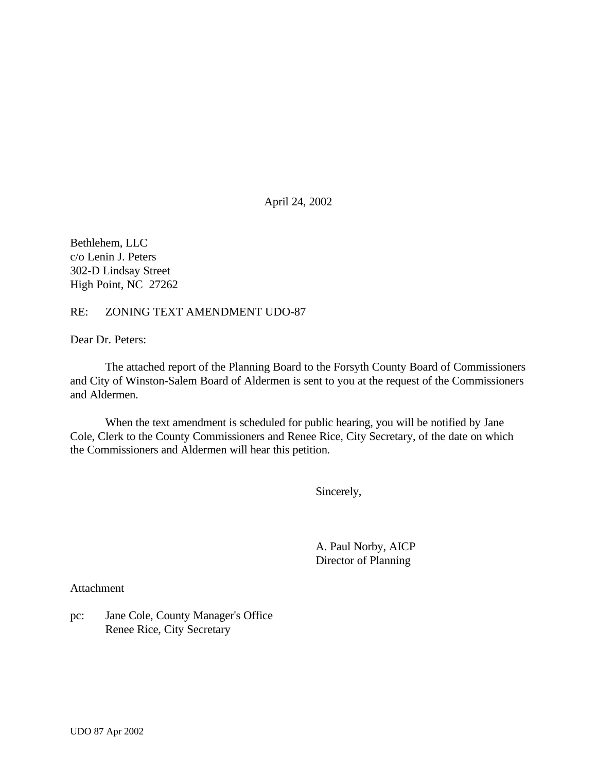April 24, 2002

Bethlehem, LLC c/o Lenin J. Peters 302-D Lindsay Street High Point, NC 27262

#### RE: ZONING TEXT AMENDMENT UDO-87

Dear Dr. Peters:

The attached report of the Planning Board to the Forsyth County Board of Commissioners and City of Winston-Salem Board of Aldermen is sent to you at the request of the Commissioners and Aldermen.

When the text amendment is scheduled for public hearing, you will be notified by Jane Cole, Clerk to the County Commissioners and Renee Rice, City Secretary, of the date on which the Commissioners and Aldermen will hear this petition.

Sincerely,

A. Paul Norby, AICP Director of Planning

Attachment

pc: Jane Cole, County Manager's Office Renee Rice, City Secretary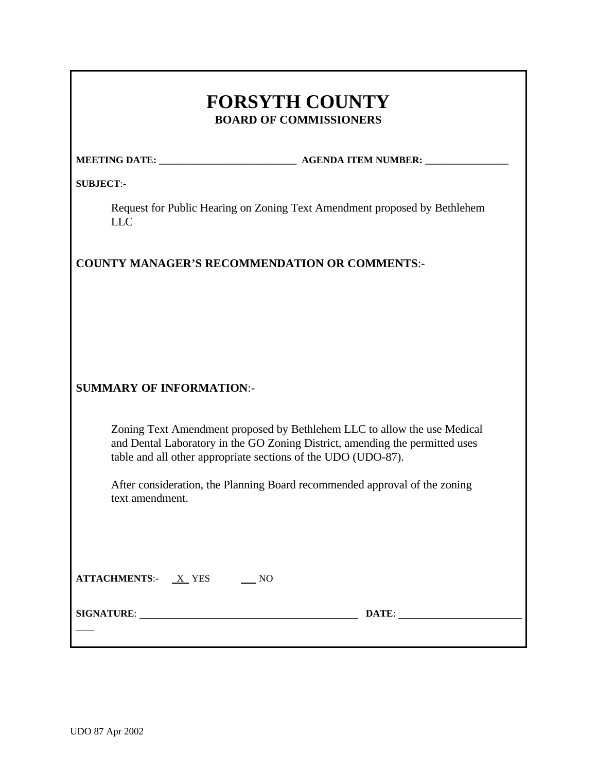# **FORSYTH COUNTY BOARD OF COMMISSIONERS**

| <b>MEETING DATE:</b> | <b>AGENDA ITEM NUMBER:</b> |
|----------------------|----------------------------|
|                      |                            |

**SUBJECT**:-

Request for Public Hearing on Zoning Text Amendment proposed by Bethlehem LLC

#### **COUNTY MANAGER'S RECOMMENDATION OR COMMENTS**:-

# **SUMMARY OF INFORMATION**:-

Zoning Text Amendment proposed by Bethlehem LLC to allow the use Medical and Dental Laboratory in the GO Zoning District, amending the permitted uses table and all other appropriate sections of the UDO (UDO-87).

After consideration, the Planning Board recommended approval of the zoning text amendment.

| <b>ATTACHMENTS:-</b> |  |
|----------------------|--|
|                      |  |

**SIGNATURE**: **DATE**:

l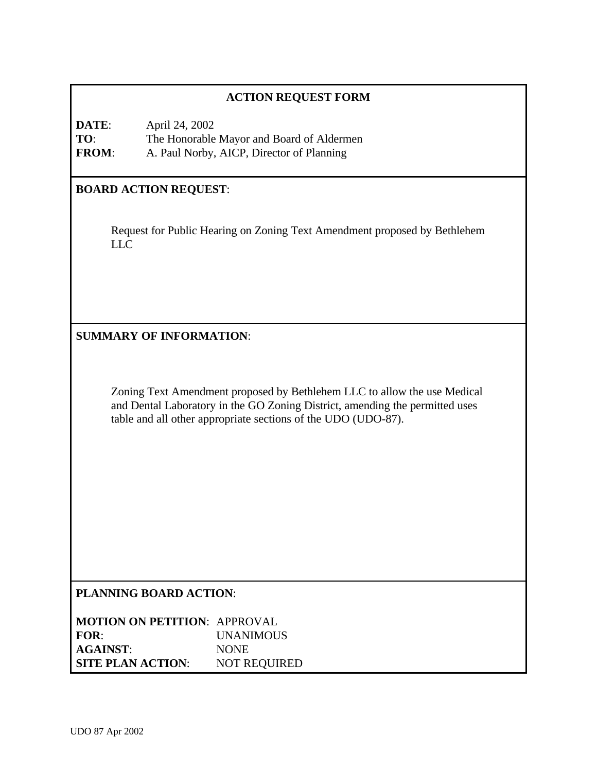# **ACTION REQUEST FORM**

**DATE**: April 24, 2002 **TO**: The Honorable Mayor and Board of Aldermen **FROM**: A. Paul Norby, AICP, Director of Planning

#### **BOARD ACTION REQUEST**:

Request for Public Hearing on Zoning Text Amendment proposed by Bethlehem LLC

#### **SUMMARY OF INFORMATION**:

Zoning Text Amendment proposed by Bethlehem LLC to allow the use Medical and Dental Laboratory in the GO Zoning District, amending the permitted uses table and all other appropriate sections of the UDO (UDO-87).

#### **PLANNING BOARD ACTION**:

| <b>MOTION ON PETITION: APPROVAL</b> |                     |
|-------------------------------------|---------------------|
| FOR:                                | <i>UNANIMOUS</i>    |
| <b>AGAINST:</b>                     | <b>NONE</b>         |
| <b>SITE PLAN ACTION:</b>            | <b>NOT REQUIRED</b> |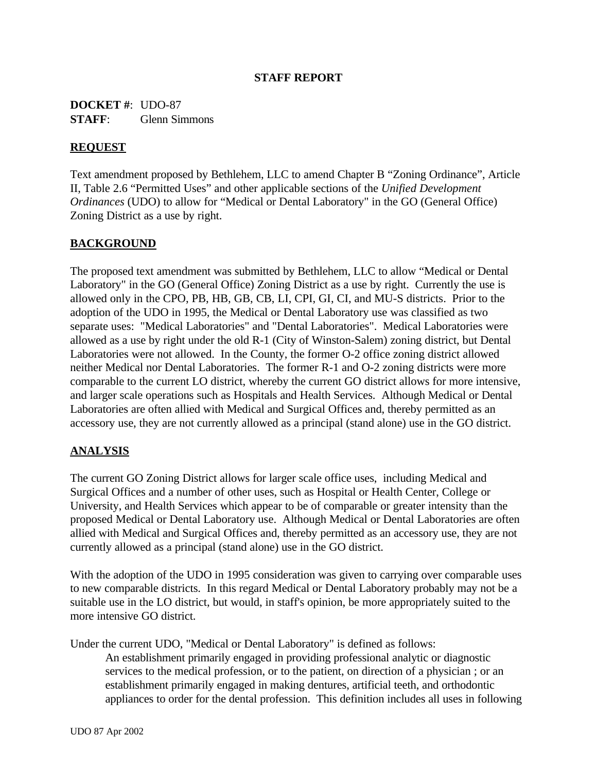#### **STAFF REPORT**

**DOCKET #**: UDO-87 **STAFF**: Glenn Simmons

#### **REQUEST**

Text amendment proposed by Bethlehem, LLC to amend Chapter B "Zoning Ordinance", Article II, Table 2.6 "Permitted Uses" and other applicable sections of the *Unified Development Ordinances* (UDO) to allow for "Medical or Dental Laboratory" in the GO (General Office) Zoning District as a use by right.

# **BACKGROUND**

The proposed text amendment was submitted by Bethlehem, LLC to allow "Medical or Dental Laboratory" in the GO (General Office) Zoning District as a use by right. Currently the use is allowed only in the CPO, PB, HB, GB, CB, LI, CPI, GI, CI, and MU-S districts. Prior to the adoption of the UDO in 1995, the Medical or Dental Laboratory use was classified as two separate uses: "Medical Laboratories" and "Dental Laboratories". Medical Laboratories were allowed as a use by right under the old R-1 (City of Winston-Salem) zoning district, but Dental Laboratories were not allowed. In the County, the former O-2 office zoning district allowed neither Medical nor Dental Laboratories. The former R-1 and O-2 zoning districts were more comparable to the current LO district, whereby the current GO district allows for more intensive, and larger scale operations such as Hospitals and Health Services. Although Medical or Dental Laboratories are often allied with Medical and Surgical Offices and, thereby permitted as an accessory use, they are not currently allowed as a principal (stand alone) use in the GO district.

#### **ANALYSIS**

The current GO Zoning District allows for larger scale office uses, including Medical and Surgical Offices and a number of other uses, such as Hospital or Health Center, College or University, and Health Services which appear to be of comparable or greater intensity than the proposed Medical or Dental Laboratory use. Although Medical or Dental Laboratories are often allied with Medical and Surgical Offices and, thereby permitted as an accessory use, they are not currently allowed as a principal (stand alone) use in the GO district.

With the adoption of the UDO in 1995 consideration was given to carrying over comparable uses to new comparable districts. In this regard Medical or Dental Laboratory probably may not be a suitable use in the LO district, but would, in staff's opinion, be more appropriately suited to the more intensive GO district.

Under the current UDO, "Medical or Dental Laboratory" is defined as follows:

An establishment primarily engaged in providing professional analytic or diagnostic services to the medical profession, or to the patient, on direction of a physician ; or an establishment primarily engaged in making dentures, artificial teeth, and orthodontic appliances to order for the dental profession. This definition includes all uses in following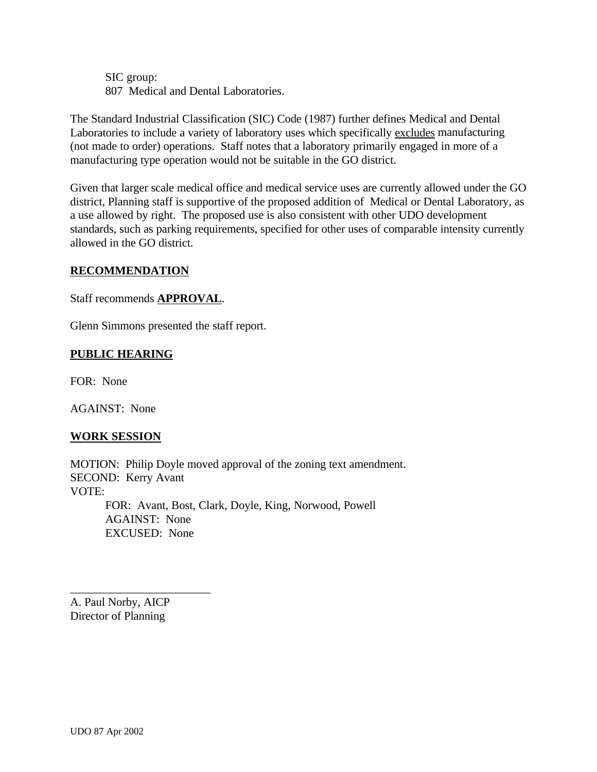SIC group: 807 Medical and Dental Laboratories.

The Standard Industrial Classification (SIC) Code (1987) further defines Medical and Dental Laboratories to include a variety of laboratory uses which specifically excludes manufacturing (not made to order) operations. Staff notes that a laboratory primarily engaged in more of a manufacturing type operation would not be suitable in the GO district.

Given that larger scale medical office and medical service uses are currently allowed under the GO district, Planning staff is supportive of the proposed addition of Medical or Dental Laboratory, as a use allowed by right. The proposed use is also consistent with other UDO development standards, such as parking requirements, specified for other uses of comparable intensity currently allowed in the GO district.

#### **RECOMMENDATION**

Staff recommends **APPROVAL**.

Glenn Simmons presented the staff report.

# **PUBLIC HEARING**

FOR: None

AGAINST: None

# **WORK SESSION**

MOTION: Philip Doyle moved approval of the zoning text amendment. SECOND: Kerry Avant VOTE: FOR: Avant, Bost, Clark, Doyle, King, Norwood, Powell

AGAINST: None EXCUSED: None

A. Paul Norby, AICP Director of Planning

\_\_\_\_\_\_\_\_\_\_\_\_\_\_\_\_\_\_\_\_\_\_\_\_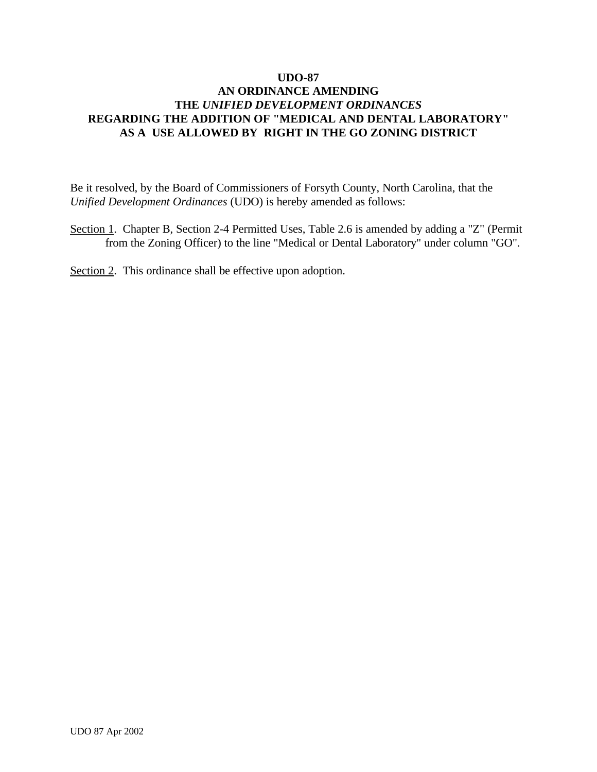Be it resolved, by the Board of Commissioners of Forsyth County, North Carolina, that the *Unified Development Ordinances* (UDO) is hereby amended as follows:

- Section 1. Chapter B, Section 2-4 Permitted Uses, Table 2.6 is amended by adding a "Z" (Permit from the Zoning Officer) to the line "Medical or Dental Laboratory" under column "GO".
- Section 2. This ordinance shall be effective upon adoption.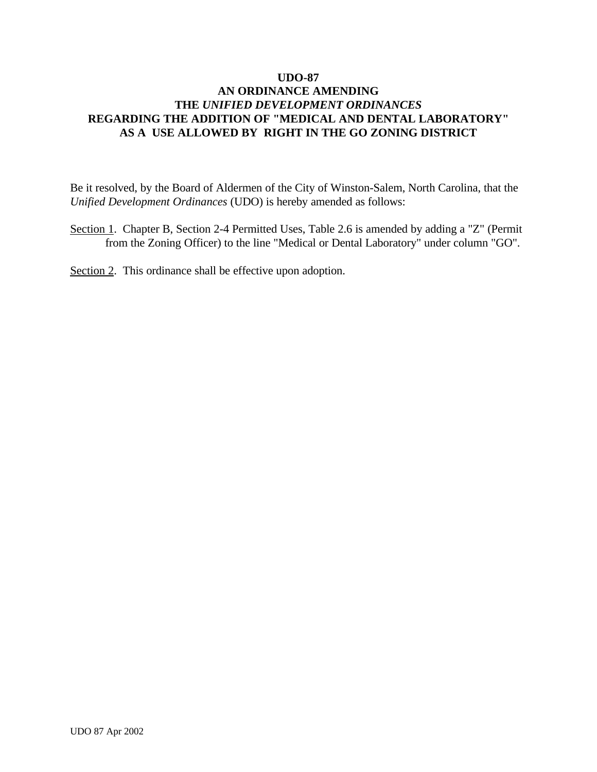Be it resolved, by the Board of Aldermen of the City of Winston-Salem, North Carolina, that the *Unified Development Ordinances* (UDO) is hereby amended as follows:

- Section 1. Chapter B, Section 2-4 Permitted Uses, Table 2.6 is amended by adding a "Z" (Permit from the Zoning Officer) to the line "Medical or Dental Laboratory" under column "GO".
- Section 2. This ordinance shall be effective upon adoption.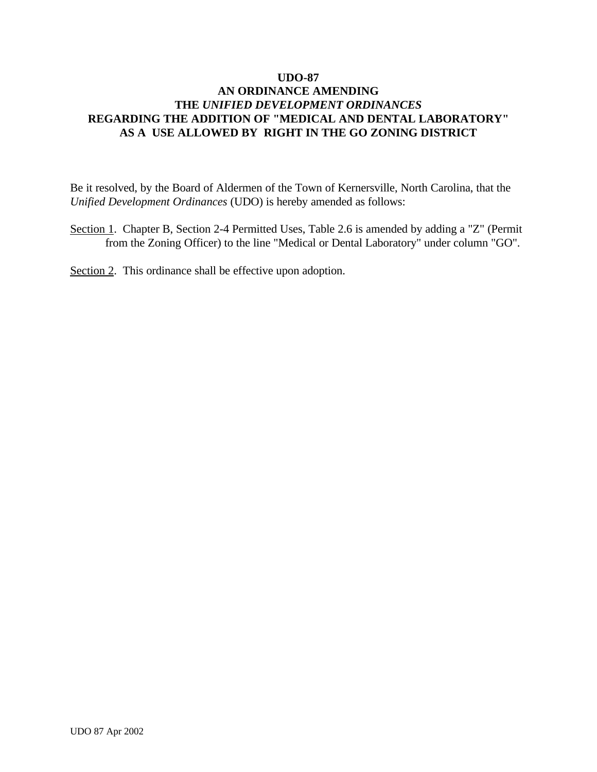Be it resolved, by the Board of Aldermen of the Town of Kernersville, North Carolina, that the *Unified Development Ordinances* (UDO) is hereby amended as follows:

- Section 1. Chapter B, Section 2-4 Permitted Uses, Table 2.6 is amended by adding a "Z" (Permit from the Zoning Officer) to the line "Medical or Dental Laboratory" under column "GO".
- Section 2. This ordinance shall be effective upon adoption.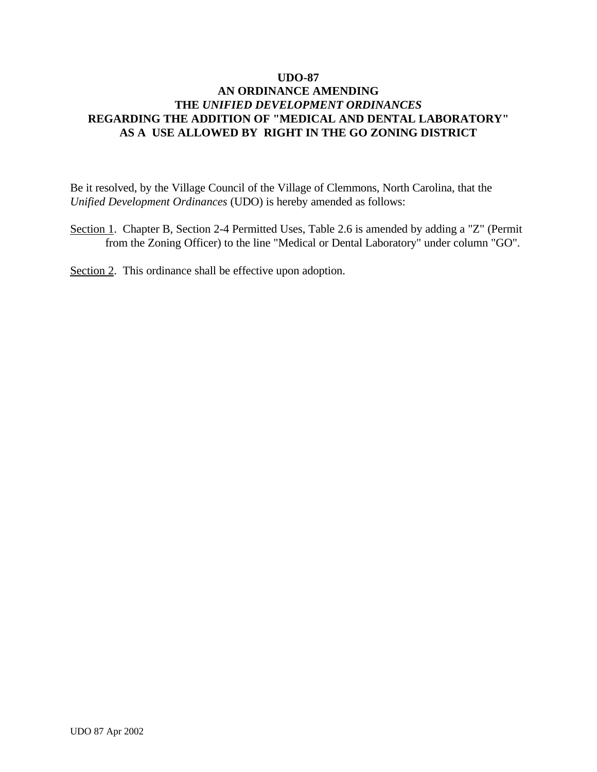Be it resolved, by the Village Council of the Village of Clemmons, North Carolina, that the *Unified Development Ordinances* (UDO) is hereby amended as follows:

- Section 1. Chapter B, Section 2-4 Permitted Uses, Table 2.6 is amended by adding a "Z" (Permit from the Zoning Officer) to the line "Medical or Dental Laboratory" under column "GO".
- Section 2. This ordinance shall be effective upon adoption.